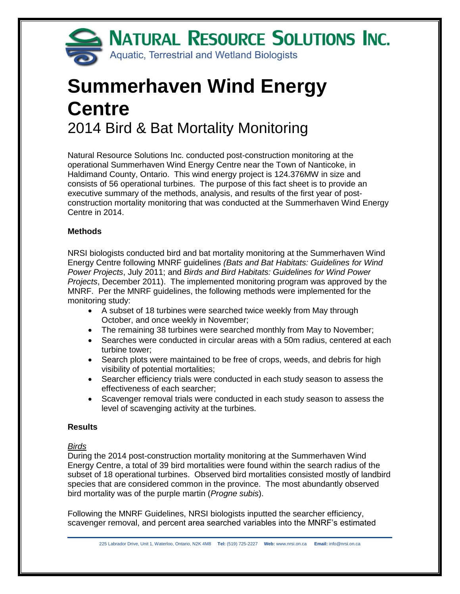

# **Summerhaven Wind Energy Centre** 2014 Bird & Bat Mortality Monitoring

Natural Resource Solutions Inc. conducted post-construction monitoring at the operational Summerhaven Wind Energy Centre near the Town of Nanticoke, in Haldimand County, Ontario. This wind energy project is 124.376MW in size and consists of 56 operational turbines. The purpose of this fact sheet is to provide an executive summary of the methods, analysis, and results of the first year of postconstruction mortality monitoring that was conducted at the Summerhaven Wind Energy Centre in 2014.

## **Methods**

NRSI biologists conducted bird and bat mortality monitoring at the Summerhaven Wind Energy Centre following MNRF guidelines *(Bats and Bat Habitats: Guidelines for Wind Power Projects*, July 2011; and *Birds and Bird Habitats: Guidelines for Wind Power Projects*, December 2011). The implemented monitoring program was approved by the MNRF. Per the MNRF guidelines, the following methods were implemented for the monitoring study:

- A subset of 18 turbines were searched twice weekly from May through October, and once weekly in November;
- The remaining 38 turbines were searched monthly from May to November;
- Searches were conducted in circular areas with a 50m radius, centered at each turbine tower;
- Search plots were maintained to be free of crops, weeds, and debris for high visibility of potential mortalities;
- Searcher efficiency trials were conducted in each study season to assess the effectiveness of each searcher;
- Scavenger removal trials were conducted in each study season to assess the level of scavenging activity at the turbines.

## **Results**

## *Birds*

During the 2014 post-construction mortality monitoring at the Summerhaven Wind Energy Centre, a total of 39 bird mortalities were found within the search radius of the subset of 18 operational turbines. Observed bird mortalities consisted mostly of landbird species that are considered common in the province. The most abundantly observed bird mortality was of the purple martin (*Progne subis*).

Following the MNRF Guidelines, NRSI biologists inputted the searcher efficiency, scavenger removal, and percent area searched variables into the MNRF's estimated